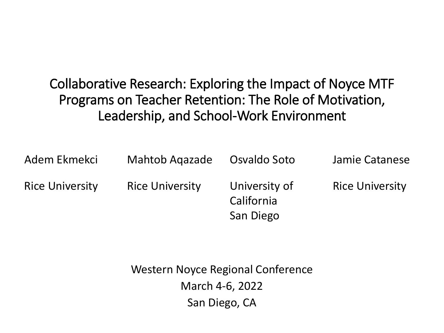### Collaborative Research: Exploring the Impact of Noyce MTF Programs on Teacher Retention: The Role of Motivation, Leadership, and School-Work Environment

| Adem Ekmekci           | <b>Mahtob Agazade</b>  | Osvaldo Soto                             | Jamie Catanese         |
|------------------------|------------------------|------------------------------------------|------------------------|
| <b>Rice University</b> | <b>Rice University</b> | University of<br>California<br>San Diego | <b>Rice University</b> |

Western Noyce Regional Conference March 4-6, 2022 San Diego, CA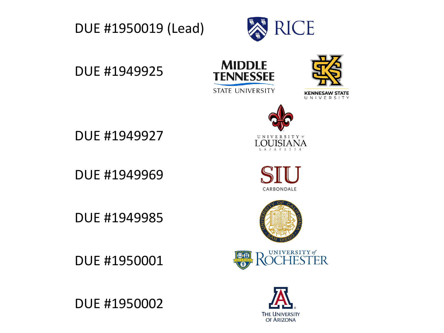



DUE #1949925





DUE #1949927

DUE #1949969

DUE #1949985

DUE #1950001













U N I V E R S I T Y  $\mathcal I$ 

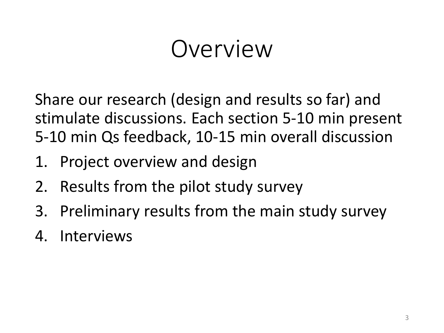### Overview

Share our research (design and results so far) and stimulate discussions. Each section 5-10 min present 5-10 min Qs feedback, 10-15 min overall discussion

- 1. Project overview and design
- 2. Results from the pilot study survey
- 3. Preliminary results from the main study survey
- 4. Interviews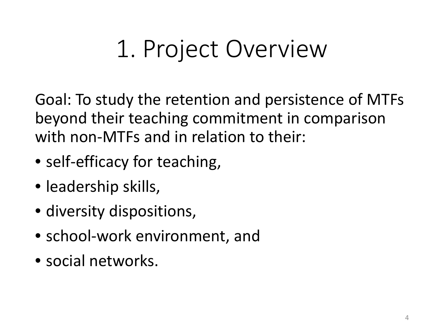# 1. Project Overview

Goal: To study the retention and persistence of MTFs beyond their teaching commitment in comparison with non-MTFs and in relation to their:

- self-efficacy for teaching,
- leadership skills,
- diversity dispositions,
- school-work environment, and
- social networks.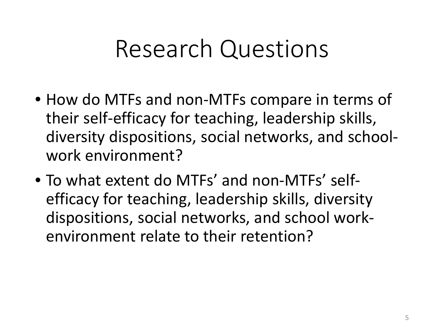### Research Questions

- How do MTFs and non-MTFs compare in terms of their self-efficacy for teaching, leadership skills, diversity dispositions, social networks, and schoolwork environment?
- To what extent do MTFs' and non-MTFs' selfefficacy for teaching, leadership skills, diversity dispositions, social networks, and school workenvironment relate to their retention?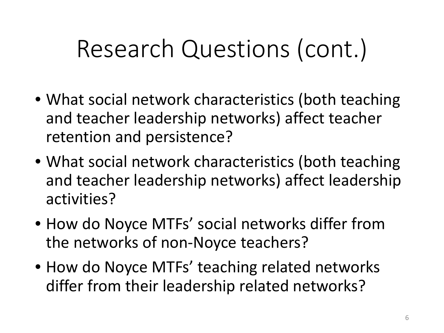# Research Questions (cont.)

- What social network characteristics (both teaching and teacher leadership networks) affect teacher retention and persistence?
- What social network characteristics (both teaching and teacher leadership networks) affect leadership activities?
- How do Noyce MTFs' social networks differ from the networks of non-Noyce teachers?
- How do Noyce MTFs' teaching related networks differ from their leadership related networks?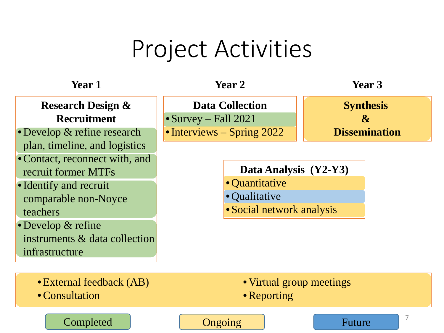### Project Activities

#### **Research Design & Recruitment**

- •Develop & refine research plan, timeline, and logistics
- •Contact, reconnect with, and recruit former MTFs
- •Identify and recruit comparable non-Noyce teachers
- •Develop & refine instruments & data collection infrastructure

**Data Collection**

• Survey – Fall 2021

• Interviews – Spring 2022



**Synthesis & Dissemination**

**Data Analysis (Y2-Y3)**

- •Quantitative
- •Qualitative
- Social network analysis

Future 2 •External feedback (AB) •Consultation • Virtual group meetings • Reporting Completed **Completed Ongoing**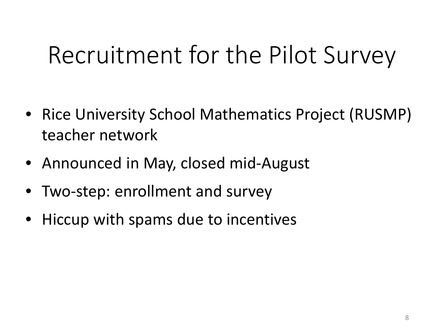# Recruitment for the Pilot Survey

- Rice University School Mathematics Project (RUSMP) teacher network
- Announced in May, closed mid-August
- Two-step: enrollment and survey
- Hiccup with spams due to incentives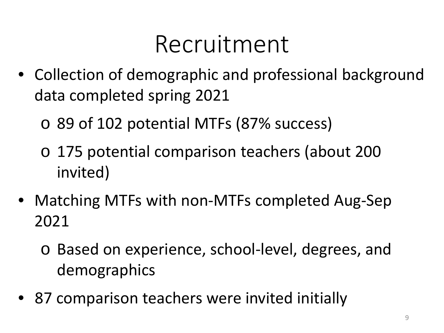### Recruitment

- Collection of demographic and professional background data completed spring 2021
	- o 89 of 102 potential MTFs (87% success)
	- o 175 potential comparison teachers (about 200 invited)
- Matching MTFs with non-MTFs completed Aug-Sep 2021
	- o Based on experience, school-level, degrees, and demographics
- 87 comparison teachers were invited initially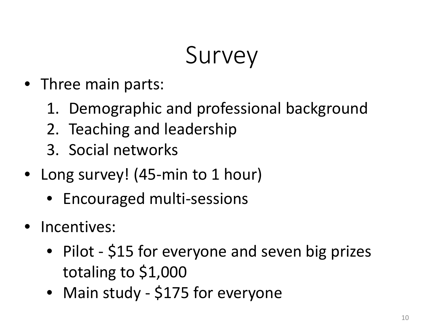# Survey

- Three main parts:
	- 1. Demographic and professional background
	- 2. Teaching and leadership
	- 3. Social networks
- Long survey! (45-min to 1 hour)
	- Encouraged multi-sessions
- Incentives:
	- Pilot \$15 for everyone and seven big prizes totaling to \$1,000
	- Main study \$175 for everyone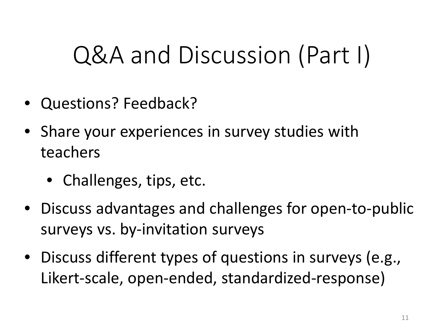# Q&A and Discussion (Part I)

- Questions? Feedback?
- Share your experiences in survey studies with teachers
	- Challenges, tips, etc.
- Discuss advantages and challenges for open-to-public surveys vs. by-invitation surveys
- Discuss different types of questions in surveys (e.g., Likert-scale, open-ended, standardized-response)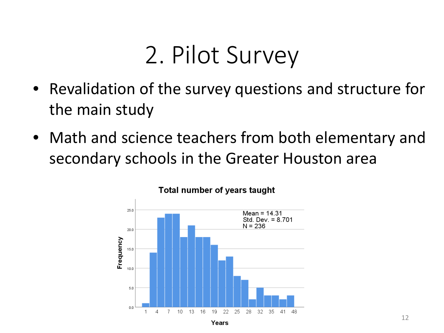### 2. Pilot Survey

- Revalidation of the survey questions and structure for the main study
- Math and science teachers from both elementary and secondary schools in the Greater Houston area



#### Total number of years taught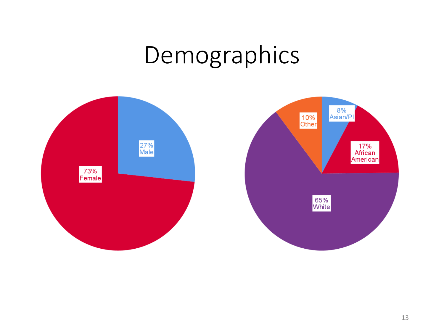### Demographics

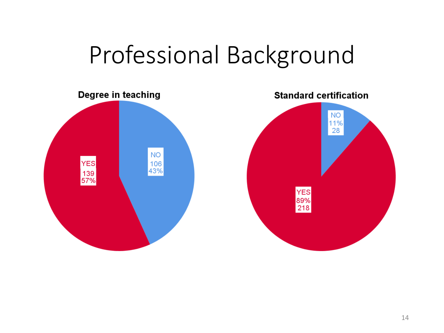### Professional Background

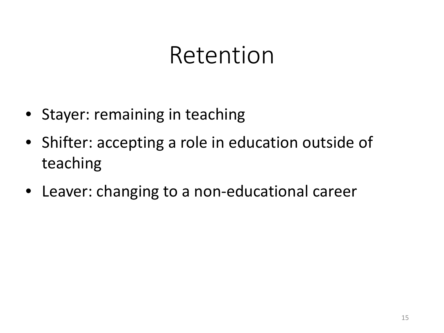### Retention

- Stayer: remaining in teaching
- Shifter: accepting a role in education outside of teaching
- Leaver: changing to a non-educational career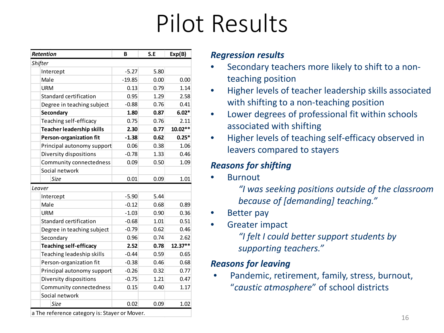# Pilot Results

| <b>Retention</b>              | В        | S.E  | Exp(B)  |
|-------------------------------|----------|------|---------|
| Shifter                       |          |      |         |
| Intercept                     | $-5.27$  | 5.80 |         |
| Male                          | $-19.85$ | 0.00 | 0.00    |
| URM                           | 0.13     | 0.79 | 1.14    |
| Standard certification        | 0.95     | 1.29 | 2.58    |
| Degree in teaching subject    | $-0.88$  | 0.76 | 0.41    |
| Secondary                     | 1.80     | 0.87 | $6.02*$ |
| Teaching self-efficacy        | 0.75     | 0.76 | 2.11    |
| Teacher leadership skills     | 2.30     | 0.77 | 10.02** |
| Person-organization fit       | $-1.38$  | 0.62 | $0.25*$ |
| Principal autonomy support    | 0.06     | 0.38 | 1.06    |
| Diversity dispositions        | $-0.78$  | 1.33 | 0.46    |
| Community connectedness       | 0.09     | 0.50 | 1.09    |
| Social network                |          |      |         |
| Size                          | 0.01     | 0.09 | 1.01    |
| Leaver                        |          |      |         |
| Intercept                     | $-5.90$  | 5.44 |         |
| Male                          | $-0.12$  | 0.68 | 0.89    |
| <b>URM</b>                    | $-1.03$  | 0.90 | 0.36    |
| Standard certification        | $-0.68$  | 1.01 | 0.51    |
| Degree in teaching subject    | $-0.79$  | 0.62 | 0.46    |
| Secondary                     | 0.96     | 0.74 | 2.62    |
| <b>Teaching self-efficacy</b> | 2.52     | 0.78 | 12.37** |
| Teaching leadeship skills     | $-0.44$  | 0.59 | 0.65    |
| Person-organization fit       | $-0.38$  | 0.46 | 0.68    |
| Principal autonomy support    | $-0.26$  | 0.32 | 0.77    |
| Diversity dispositions        | $-0.75$  | 1.21 | 0.47    |
| Community connectedness       | 0.15     | 0.40 | 1.17    |
| Social network                |          |      |         |
| Size                          | 0.02     | 0.09 | 1.02    |

#### *Regression results*

- Secondary teachers more likely to shift to a nonteaching position
- Higher levels of teacher leadership skills associated with shifting to a non-teaching position
- Lower degrees of professional fit within schools associated with shifting
- Higher levels of teaching self-efficacy observed in leavers compared to stayers

#### *Reasons for shifting*

**Burnout** 

*"I was seeking positions outside of the classroom because of [demanding] teaching."*

- Better pay
- Greater impact

*"I felt I could better support students by supporting teachers."*

#### *Reasons for leaving*

Pandemic, retirement, family, stress, burnout, "*caustic atmosphere*" of school districts

a The reference category is: Stayer or Mover.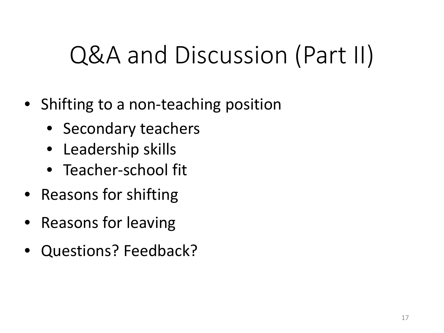# Q&A and Discussion (Part II)

- Shifting to a non-teaching position
	- Secondary teachers
	- Leadership skills
	- Teacher-school fit
- Reasons for shifting
- Reasons for leaving
- Questions? Feedback?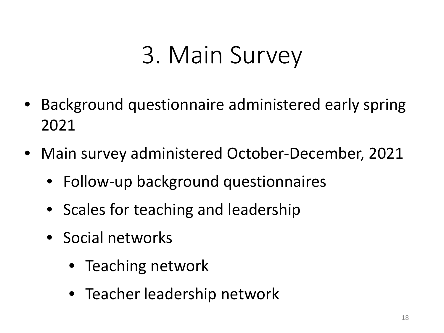## 3. Main Survey

- Background questionnaire administered early spring 2021
- Main survey administered October-December, 2021
	- Follow-up background questionnaires
	- Scales for teaching and leadership
	- Social networks
		- Teaching network
		- Teacher leadership network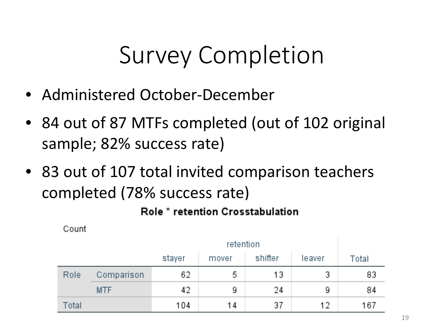# Survey Completion

- Administered October-December
- 84 out of 87 MTFs completed (out of 102 original sample; 82% success rate)
- 83 out of 107 total invited comparison teachers completed (78% success rate)

### Role \* retention Crosstabulation

Count

|       |            | retention |       |         |        |       |
|-------|------------|-----------|-------|---------|--------|-------|
|       |            | stayer    | mover | shifter | leaver | Total |
| Role  | Comparison | 62        | 5     | 13      | 3      | 83    |
|       | <b>MTF</b> | 42        | 9     | 24      | -9.    | 84    |
| Total |            | 104       | 14    | 37      | 12     | 167   |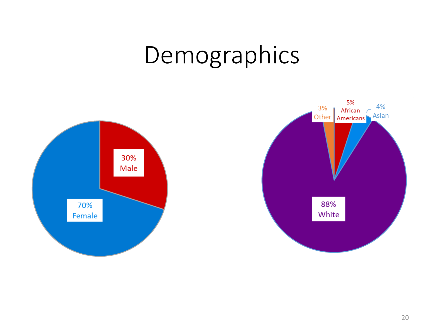### Demographics

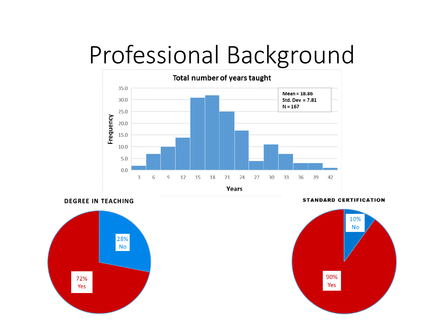### Professional Background









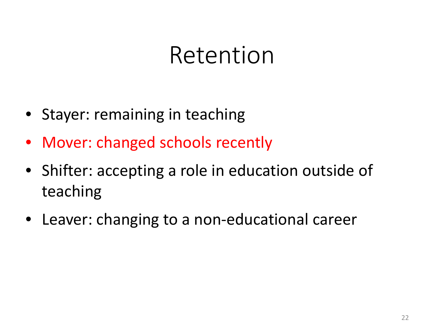### Retention

- Stayer: remaining in teaching
- Mover: changed schools recently
- Shifter: accepting a role in education outside of teaching
- Leaver: changing to a non-educational career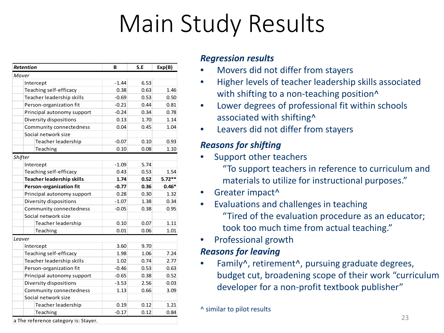# Main Study Results

| <b>Retention</b>                 | B       | S.E          | Exp(B)   |
|----------------------------------|---------|--------------|----------|
| Mover                            |         |              |          |
| Intercept                        | $-1.44$ | 6.53         |          |
| Teaching self-efficacy           | 0.38    | 0.63         | 1.46     |
| Teacher leadership skills        | $-0.69$ | 0.53         | 0.50     |
| Person-organization fit          | $-0.21$ | 0.44         | 0.81     |
| Principal autonomy support       | $-0.24$ | 0.34<br>0.78 |          |
| Diversity dispositions           | 0.13    | 1.70         | 1.14     |
| Community connectedness          | 0.04    | 0.45         | 1.04     |
| Social network size              |         |              |          |
| Teacher leadership               | $-0.07$ | 0.10         | 0.93     |
| Teaching                         | 0.10    | 0.08         | 1.10     |
| Shifter                          |         |              |          |
| Intercept                        | $-1.09$ | 5.74         |          |
| Teaching self-efficacy           | 0.43    | 0.53         | 1.54     |
| <b>Teacher leadership skills</b> | 1.74    | 0.52         | $5.72**$ |
| Person-organization fit          | $-0.77$ | 0.36         | $0.46*$  |
| Principal autonomy support       | 0.28    | 0.30         | 1.32     |
| Diversity dispositions           | $-1.07$ | 1.38<br>0.34 |          |
| Community connectedness          | $-0.05$ | 0.38         | 0.95     |
| Social network size              |         |              |          |
| Teacher leadership               | 0.10    | 0.07         | 1.11     |
| Teaching                         | 0.01    | 0.06         | 1.01     |
| Leaver                           |         |              |          |
| Intercept                        | 3.60    | 9.70         |          |
| Teaching self-efficacy           | 1.98    | 1.06         | 7.24     |
| Teacher leadership skills        | 1.02    | 0.74         | 2.77     |
| Person-organization fit          | $-0.46$ | 0.53         | 0.63     |
| Principal autonomy support       | $-0.65$ | 0.38         | 0.52     |
| Diversity dispositions           | $-3.53$ | 2.56         | 0.03     |
| Community connectedness          | 1.13    | 0.66         | 3.09     |
| Social network size              |         |              |          |
| Teacher leadership               | 0.19    | 0.12         | 1.21     |
| Teaching                         | $-0.17$ | 0.12         | 0.84     |

#### *Regression results*

- Movers did not differ from stayers
- Higher levels of teacher leadership skills associated with shifting to a non-teaching position<sup>^</sup>
- Lower degrees of professional fit within schools associated with shifting^
- Leavers did not differ from stayers

#### *Reasons for shifting*

- Support other teachers
	- "To support teachers in reference to curriculum and materials to utilize for instructional purposes."
- Greater impact<sup>^</sup>
- Evaluations and challenges in teaching "Tired of the evaluation procedure as an educator; took too much time from actual teaching."
- Professional growth

#### *Reasons for leaving*

Family<sup>^</sup>, retirement<sup>^</sup>, pursuing graduate degrees, budget cut, broadening scope of their work "curriculum developer for a non-profit textbook publisher"

<sup>^</sup> similar to pilot results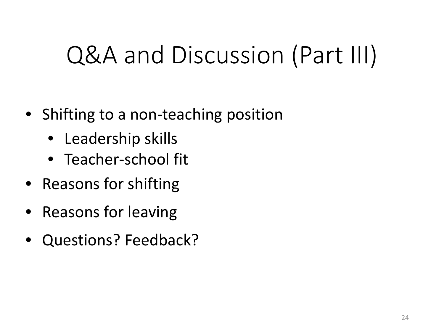# Q&A and Discussion (Part III)

- Shifting to a non-teaching position
	- Leadership skills
	- Teacher-school fit
- Reasons for shifting
- Reasons for leaving
- Questions? Feedback?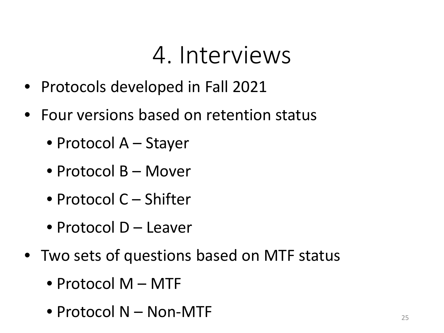### 4. Interviews

- Protocols developed in Fall 2021
- Four versions based on retention status
	- Protocol A Stayer
	- Protocol B Mover
	- Protocol C Shifter
	- Protocol D Leaver
- Two sets of questions based on MTF status
	- Protocol M MTF
	- Protocol N Non-MTF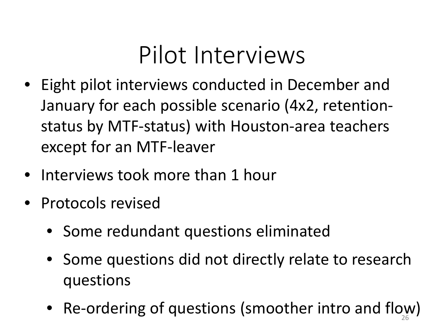### Pilot Interviews

- Eight pilot interviews conducted in December and January for each possible scenario (4x2, retentionstatus by MTF-status) with Houston-area teachers except for an MTF-leaver
- Interviews took more than 1 hour
- Protocols revised
	- Some redundant questions eliminated
	- Some questions did not directly relate to research questions
	- Re-ordering of questions (smoother intro and flow)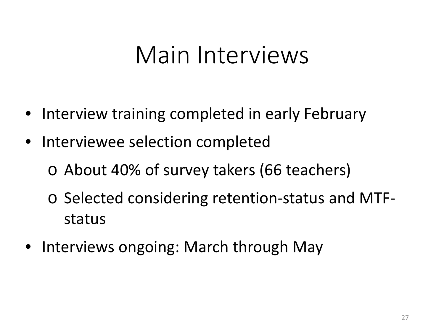### Main Interviews

- Interview training completed in early February
- Interviewee selection completed
	- o About 40% of survey takers (66 teachers)
	- o Selected considering retention-status and MTFstatus
- Interviews ongoing: March through May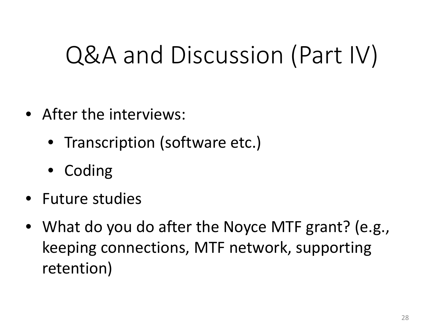# Q&A and Discussion (Part IV)

- After the interviews:
	- Transcription (software etc.)
	- **Coding**
- Future studies
- What do you do after the Noyce MTF grant? (e.g., keeping connections, MTF network, supporting retention)